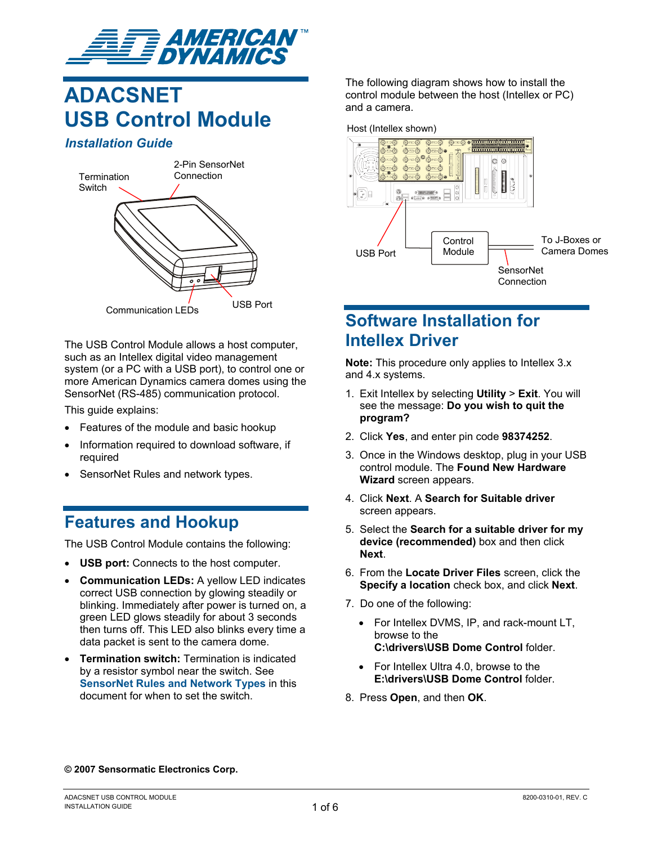

# **ADACSNET USB Control Module**

### *Installation Guide*



The USB Control Module allows a host computer, such as an Intellex digital video management system (or a PC with a USB port), to control one or more American Dynamics camera domes using the SensorNet (RS-485) communication protocol.

This guide explains:

- Features of the module and basic hookup
- Information required to download software, if required
- SensorNet Rules and network types.

## **Features and Hookup**

The USB Control Module contains the following:

- **USB port:** Connects to the host computer.
- **Communication LEDs:** A yellow LED indicates correct USB connection by glowing steadily or blinking. Immediately after power is turned on, a green LED glows steadily for about 3 seconds then turns off. This LED also blinks every time a data packet is sent to the camera dome.
- **Termination switch:** Termination is indicated by a resistor symbol near the switch. See **[SensorNet Rules and Network Types](#page-1-0)** in this document for when to set the switch.

The following diagram shows how to install the control module between the host (Intellex or PC) and a camera.



## **Software Installation for Intellex Driver**

**Note:** This procedure only applies to Intellex 3.x and 4.x systems.

- 1. Exit Intellex by selecting **Utility** > **Exit**. You will see the message: **Do you wish to quit the program?**
- 2. Click **Yes**, and enter pin code **98374252**.
- 3. Once in the Windows desktop, plug in your USB control module. The **Found New Hardware Wizard** screen appears.
- 4. Click **Next**. A **Search for Suitable driver** screen appears.
- 5. Select the **Search for a suitable driver for my device (recommended)** box and then click **Next**.
- 6. From the **Locate Driver Files** screen, click the **Specify a location** check box, and click **Next**.
- 7. Do one of the following:
	- For Intellex DVMS, IP, and rack-mount LT, browse to the **C:\drivers\USB Dome Control** folder.
	- For Intellex Ultra 4.0, browse to the **E:\drivers\USB Dome Control** folder.
- 8. Press **Open**, and then **OK**.

#### **© 2007 Sensormatic Electronics Corp.**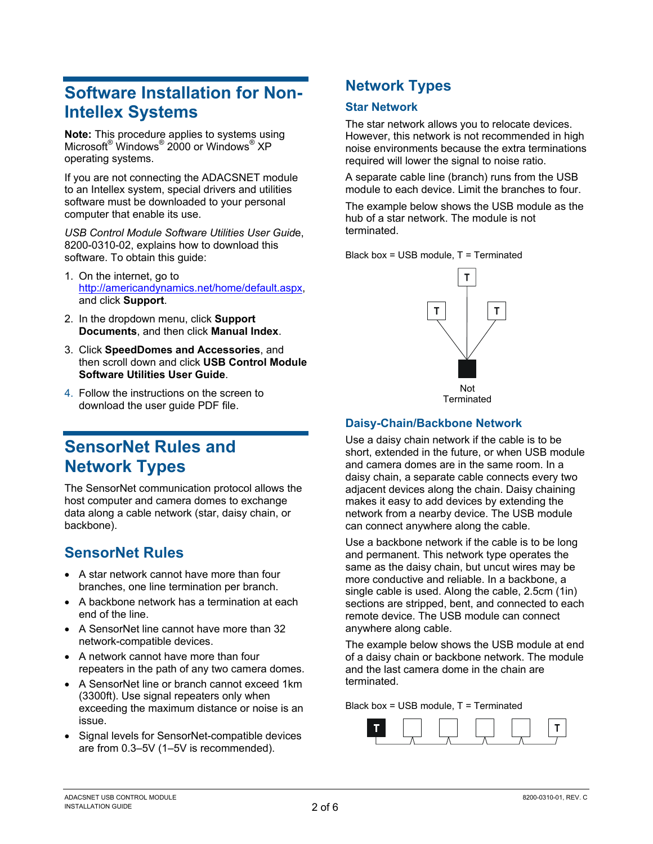# <span id="page-1-0"></span>**Software Installation for Non-Intellex Systems**

**Note:** This procedure applies to systems using Microsoft® Windows® 2000 or Windows® XP operating systems.

If you are not connecting the ADACSNET module to an Intellex system, special drivers and utilities software must be downloaded to your personal computer that enable its use.

*USB Control Module Software Utilities User Guid*e, 8200-0310-02, explains how to download this software. To obtain this guide:

- 1. On the internet, go to [http://americandynamics.net/home/default.aspx,](http://americandynamics.net/home/default.aspx) and click **Support**.
- 2. In the dropdown menu, click **Support Documents**, and then click **Manual Index**.
- 3. Click **SpeedDomes and Accessories**, and then scroll down and click **USB Control Module Software Utilities User Guide**.
- 4. Follow the instructions on the screen to download the user guide PDF file.

# **SensorNet Rules and Network Types**

The SensorNet communication protocol allows the host computer and camera domes to exchange data along a cable network (star, daisy chain, or backbone).

## **SensorNet Rules**

- A star network cannot have more than four branches, one line termination per branch.
- A backbone network has a termination at each end of the line.
- A SensorNet line cannot have more than 32 network-compatible devices.
- A network cannot have more than four repeaters in the path of any two camera domes.
- A SensorNet line or branch cannot exceed 1km (3300ft). Use signal repeaters only when exceeding the maximum distance or noise is an issue.
- Signal levels for SensorNet-compatible devices are from 0.3–5V (1–5V is recommended).

## **Network Types**

### **Star Network**

The star network allows you to relocate devices. However, this network is not recommended in high noise environments because the extra terminations required will lower the signal to noise ratio.

A separate cable line (branch) runs from the USB module to each device. Limit the branches to four.

The example below shows the USB module as the hub of a star network. The module is not terminated.

Black box = USB module, T = Terminated



### **Daisy-Chain/Backbone Network**

Use a daisy chain network if the cable is to be short, extended in the future, or when USB module and camera domes are in the same room. In a daisy chain, a separate cable connects every two adjacent devices along the chain. Daisy chaining makes it easy to add devices by extending the network from a nearby device. The USB module can connect anywhere along the cable.

Use a backbone network if the cable is to be long and permanent. This network type operates the same as the daisy chain, but uncut wires may be more conductive and reliable. In a backbone, a single cable is used. Along the cable, 2.5cm (1in) sections are stripped, bent, and connected to each remote device. The USB module can connect anywhere along cable.

The example below shows the USB module at end of a daisy chain or backbone network. The module and the last camera dome in the chain are terminated.

Black box = USB module, T = Terminated

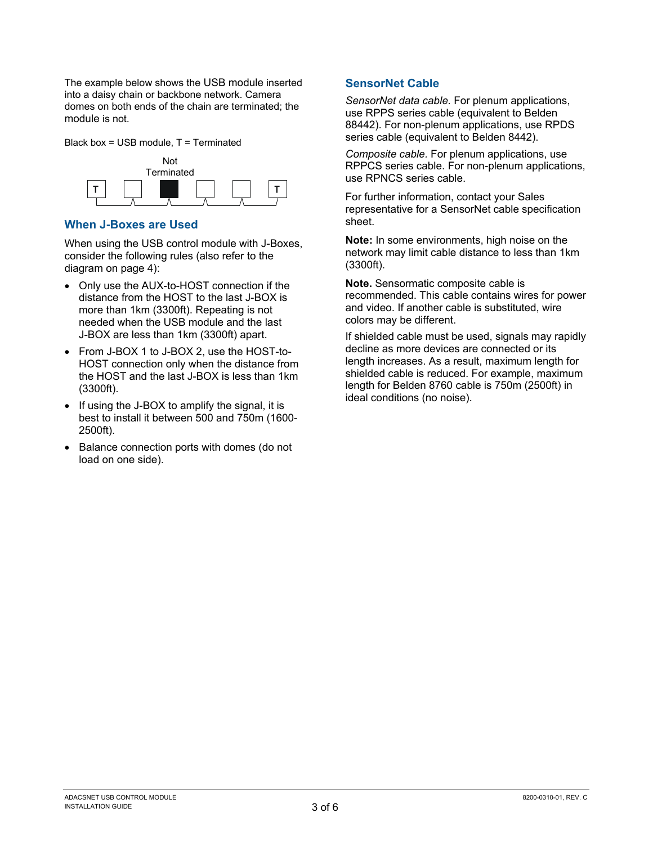The example below shows the USB module inserted into a daisy chain or backbone network. Camera domes on both ends of the chain are terminated; the module is not.

Black box = USB module, T = Terminated



### **When J-Boxes are Used**

When using the USB control module with J-Boxes, consider the following rules (also refer to the diagram on page [4\)](#page-3-0):

- Only use the AUX-to-HOST connection if the distance from the HOST to the last J-BOX is more than 1km (3300ft). Repeating is not needed when the USB module and the last J-BOX are less than 1km (3300ft) apart.
- From J-BOX 1 to J-BOX 2, use the HOST-to-HOST connection only when the distance from the HOST and the last J-BOX is less than 1km (3300ft).
- If using the J-BOX to amplify the signal, it is best to install it between 500 and 750m (1600- 2500ft).
- Balance connection ports with domes (do not load on one side).

### **SensorNet Cable**

*SensorNet data cable.* For plenum applications, use RPPS series cable (equivalent to Belden 88442). For non-plenum applications, use RPDS series cable (equivalent to Belden 8442).

*Composite cable.* For plenum applications, use RPPCS series cable. For non-plenum applications, use RPNCS series cable.

For further information, contact your Sales representative for a SensorNet cable specification sheet.

**Note:** In some environments, high noise on the network may limit cable distance to less than 1km (3300ft).

**Note.** Sensormatic composite cable is recommended. This cable contains wires for power and video. If another cable is substituted, wire colors may be different.

If shielded cable must be used, signals may rapidly decline as more devices are connected or its length increases. As a result, maximum length for shielded cable is reduced. For example, maximum length for Belden 8760 cable is 750m (2500ft) in ideal conditions (no noise).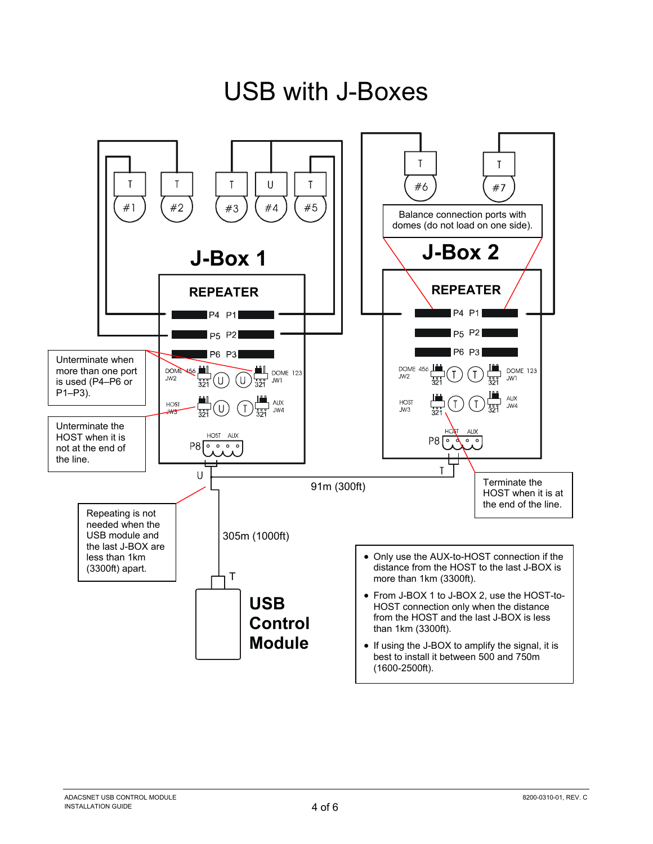<span id="page-3-0"></span>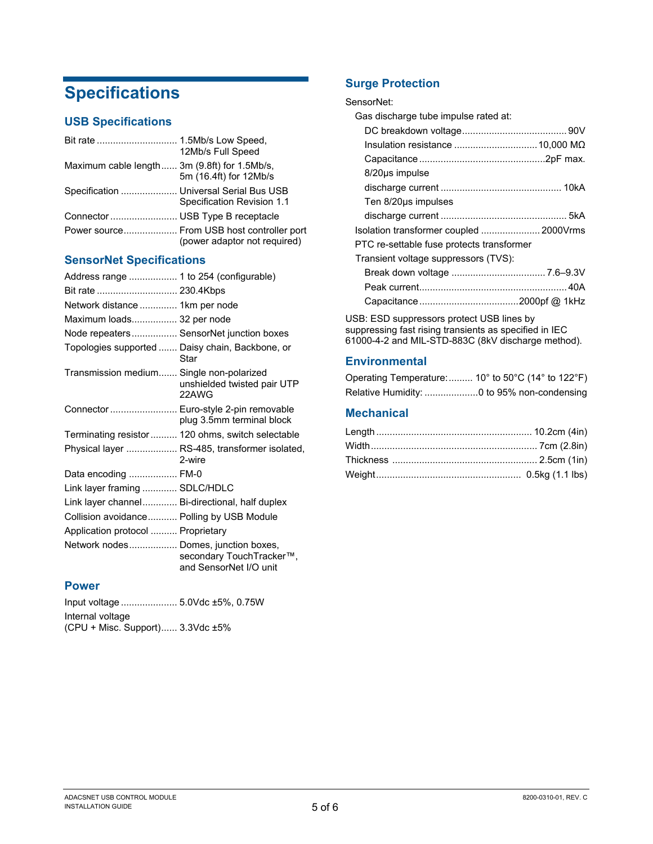# **Specifications**

### **USB Specifications**

|                                              | 12Mb/s Full Speed                                                          |
|----------------------------------------------|----------------------------------------------------------------------------|
| Maximum cable length 3m (9.8ft) for 1.5Mb/s, | 5m (16.4ft) for 12Mb/s                                                     |
| Specification  Universal Serial Bus USB      | Specification Revision 1.1                                                 |
|                                              |                                                                            |
|                                              | Power source From USB host controller port<br>(power adaptor not required) |

### **SensorNet Specifications**

| Address range  1 to 254 (configurable)         |                                                                    |
|------------------------------------------------|--------------------------------------------------------------------|
| Bit rate  230.4Kbps                            |                                                                    |
| Network distance  1km per node                 |                                                                    |
| Maximum loads 32 per node                      |                                                                    |
| Node repeaters SensorNet junction boxes        |                                                                    |
|                                                | Topologies supported  Daisy chain, Backbone, or<br>Star            |
| Transmission medium Single non-polarized       | unshielded twisted pair UTP<br>22AWG                               |
|                                                | Connector  Euro-style 2-pin removable<br>plug 3.5mm terminal block |
|                                                | Terminating resistor 120 ohms, switch selectable                   |
|                                                | Physical layer  RS-485, transformer isolated,<br>2-wire            |
| Data encoding  FM-0                            |                                                                    |
| Link layer framing  SDLC/HDLC                  |                                                                    |
| Link layer channel Bi-directional, half duplex |                                                                    |
| Collision avoidance Polling by USB Module      |                                                                    |
| Application protocol  Proprietary              |                                                                    |
| Network nodes Domes, junction boxes,           | secondary TouchTracker™,<br>and SensorNet I/O unit                 |

### **Power**

| Input voltage  5.0Vdc ±5%, 0.75W |  |
|----------------------------------|--|
| Internal voltage                 |  |
| (CPU + Misc. Support) 3.3Vdc ±5% |  |

## **Surge Protection**

#### SensorNet:

| Gas discharge tube impulse rated at:      |  |
|-------------------------------------------|--|
|                                           |  |
|                                           |  |
|                                           |  |
| 8/20us impulse                            |  |
|                                           |  |
| Ten 8/20us impulses                       |  |
|                                           |  |
| Isolation transformer coupled  2000Vrms   |  |
| PTC re-settable fuse protects transformer |  |
| Transient voltage suppressors (TVS):      |  |
|                                           |  |
|                                           |  |
|                                           |  |

USB: ESD suppressors protect USB lines by suppressing fast rising transients as specified in IEC 61000-4-2 and MIL-STD-883C (8kV discharge method).

### **Environmental**

| Operating Temperature: 10 $^{\circ}$ to 50 $^{\circ}$ C (14 $^{\circ}$ to 122 $^{\circ}$ F) |  |  |  |
|---------------------------------------------------------------------------------------------|--|--|--|
|                                                                                             |  |  |  |

### **Mechanical**